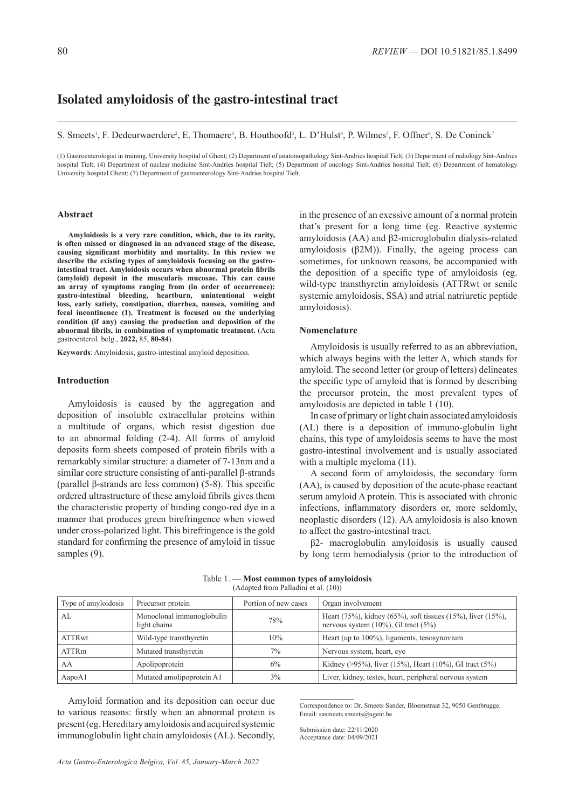# **Isolated amyloidosis of the gastro-intestinal tract**

S. Smeets<sup>1</sup>, F. Dedeurwaerdere<sup>2</sup>, E. Thomaere<sup>3</sup>, B. Houthoofd<sup>3</sup>, L. D'Hulst<sup>4</sup>, P. Wilmes<sup>5</sup>, F. Offner<sup>6</sup>, S. De Coninck<sup>7</sup>

(1) Gastroenterologist in training, University hospital of Ghent; (2) Department of anatomopathology Sint-Andries hospital Tielt; (3) Department of radiology Sint-Andries hospital Tielt; (4) Department of nuclear medicine Sint-Andries hospital Tielt; (5) Department of oncology Sint-Andries hospital Tielt; (6) Department of hematology University hospital Ghent; (7) Department of gastroenterology Sint-Andries hospital Tielt.

## **Abstract**

**Amyloidosis is a very rare condition, which, due to its rarity, is often missed or diagnosed in an advanced stage of the disease, causing significant morbidity and mortality. In this review we describe the existing types of amyloidosis focusing on the gastrointestinal tract. Amyloidosis occurs when abnormal protein fibrils (amyloid) deposit in the muscularis mucosae. This can cause an array of symptoms ranging from (in order of occurrence): gastro-intestinal bleeding, heartburn, unintentional weight loss, early satiety, constipation, diarrhea, nausea, vomiting and fecal incontinence (1). Treatment is focused on the underlying condition (if any) causing the production and deposition of the abnormal fibrils, in combination of symptomatic treatment.** (Acta gastroenterol. belg., **2022,** 85, **80-84**).

**Keywords**: Amyloidosis, gastro-intestinal amyloid deposition.

## **Introduction**

Amyloidosis is caused by the aggregation and deposition of insoluble extracellular proteins within a multitude of organs, which resist digestion due to an abnormal folding (2-4). All forms of amyloid deposits form sheets composed of protein fibrils with a remarkably similar structure: a diameter of 7-13nm and a similar core structure consisting of anti-parallel β-strands (parallel β-strands are less common) (5-8). This specific ordered ultrastructure of these amyloid fibrils gives them the characteristic property of binding congo-red dye in a manner that produces green birefringence when viewed under cross-polarized light. This birefringence is the gold standard for confirming the presence of amyloid in tissue samples (9).

in the presence of an exessive amount of a normal protein that's present for a long time (eg. Reactive systemic amyloidosis (AA) and β2-microglobulin dialysis-related amyloidosis  $(β2M)$ ). Finally, the ageing process can sometimes, for unknown reasons, be accompanied with the deposition of a specific type of amyloidosis (eg. wild-type transthyretin amyloidosis (ATTRwt or senile systemic amyloidosis, SSA) and atrial natriuretic peptide amyloidosis).

#### **Nomenclature**

Amyloidosis is usually referred to as an abbreviation, which always begins with the letter A, which stands for amyloid. The second letter (or group of letters) delineates the specific type of amyloid that is formed by describing the precursor protein, the most prevalent types of amyloidosis are depicted in table 1 (10).

In case of primary or light chain associated amyloidosis (AL) there is a deposition of immuno-globulin light chains, this type of amyloidosis seems to have the most gastro-intestinal involvement and is usually associated with a multiple myeloma  $(11)$ .

A second form of amyloidosis, the secondary form (AA), is caused by deposition of the acute-phase reactant serum amyloid A protein. This is associated with chronic infections, inflammatory disorders or, more seldomly, neoplastic disorders (12). AA amyloidosis is also known to affect the gastro-intestinal tract.

β2- macroglobulin amyloidosis is usually caused by long term hemodialysis (prior to the introduction of

| Type of amyloidosis | Precursor protein                         | Portion of new cases | Organ involvement                                                                                                         |
|---------------------|-------------------------------------------|----------------------|---------------------------------------------------------------------------------------------------------------------------|
| AL                  | Monoclonal immunoglobulin<br>light chains | 78%                  | Heart $(75\%)$ , kidney $(65\%)$ , soft tissues $(15\%)$ , liver $(15\%)$ ,<br>nervous system $(10\%)$ , GI tract $(5\%)$ |
| ATTRwt              | Wild-type transthyretin                   | $10\%$               | Heart (up to 100%), ligaments, tenosynovium                                                                               |
| ATTRm               | Mutated transthyretin                     | $7\%$                | Nervous system, heart, eye                                                                                                |
| AA                  | Apolipoprotein                            | 6%                   | Kidney (>95%), liver (15%), Heart (10%), GI tract (5%)                                                                    |
| AapoA1              | Mutated amolipoprotein A1                 | 3%                   | Liver, kidney, testes, heart, peripheral nervous system                                                                   |

Table 1. — **Most common types of amyloidosis** (Adapted from Palladini et al. (10))

Amyloid formation and its deposition can occur due to various reasons: firstly when an abnormal protein is present (eg. Hereditary amyloidosis and acquired systemic immunoglobulin light chain amyloidosis (AL). Secondly,

Correspondence to: Dr. Smeets Sander, Bloemstraat 32, 9050 Gentbrugge. Email: sasmeets.smeets@ugent.be

Submission date: 22/11/2020 Acceptance date: 04/09/2021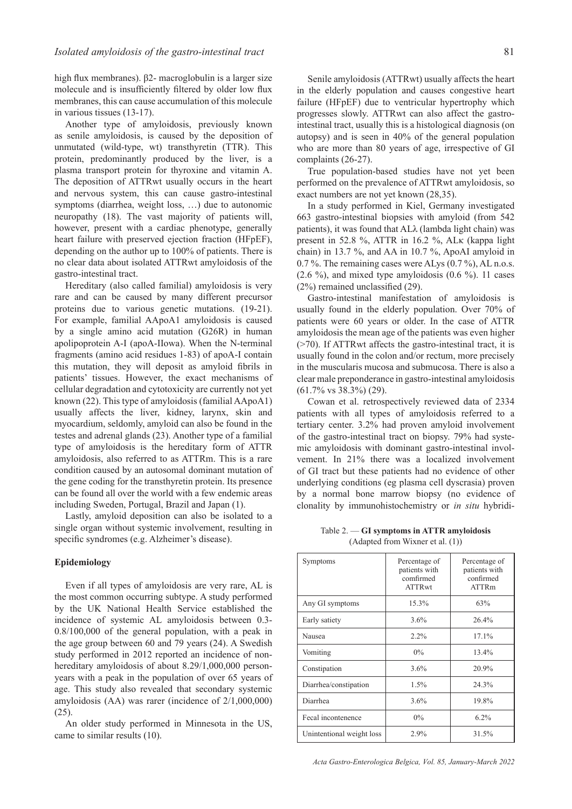high flux membranes). β2- macroglobulin is a larger size molecule and is insufficiently filtered by older low flux membranes, this can cause accumulation of this molecule in various tissues (13-17).

Another type of amyloidosis, previously known as senile amyloidosis, is caused by the deposition of unmutated (wild-type, wt) transthyretin (TTR). This protein, predominantly produced by the liver, is a plasma transport protein for thyroxine and vitamin A. The deposition of ATTRwt usually occurs in the heart and nervous system, this can cause gastro-intestinal symptoms (diarrhea, weight loss, …) due to autonomic neuropathy (18). The vast majority of patients will, however, present with a cardiac phenotype, generally heart failure with preserved ejection fraction (HFpEF), depending on the author up to 100% of patients. There is no clear data about isolated ATTRwt amyloidosis of the gastro-intestinal tract.

Hereditary (also called familial) amyloidosis is very rare and can be caused by many different precursor proteins due to various genetic mutations. (19-21). For example, familial AApoA1 amyloidosis is caused by a single amino acid mutation (G26R) in human apolipoprotein A-I (apoA-IIowa). When the N-terminal fragments (amino acid residues 1-83) of apoA-I contain this mutation, they will deposit as amyloid fibrils in patients' tissues. However, the exact mechanisms of cellular degradation and cytotoxicity are currently not yet known (22). This type of amyloidosis (familial AApoA1) usually affects the liver, kidney, larynx, skin and myocardium, seldomly, amyloid can also be found in the testes and adrenal glands (23). Another type of a familial type of amyloidosis is the hereditary form of ATTR amyloidosis, also referred to as ATTRm. This is a rare condition caused by an autosomal dominant mutation of the gene coding for the transthyretin protein. Its presence can be found all over the world with a few endemic areas including Sweden, Portugal, Brazil and Japan (1).

Lastly, amyloid deposition can also be isolated to a single organ without systemic involvement, resulting in specific syndromes (e.g. Alzheimer's disease).

# **Epidemiology**

Even if all types of amyloidosis are very rare, AL is the most common occurring subtype. A study performed by the UK National Health Service established the incidence of systemic AL amyloidosis between 0.3- 0.8/100,000 of the general population, with a peak in the age group between 60 and 79 years (24). A Swedish study performed in 2012 reported an incidence of nonhereditary amyloidosis of about 8.29/1,000,000 personyears with a peak in the population of over 65 years of age. This study also revealed that secondary systemic amyloidosis (AA) was rarer (incidence of 2/1,000,000)  $(25)$ .

An older study performed in Minnesota in the US, came to similar results (10).

Senile amyloidosis (ATTRwt) usually affects the heart in the elderly population and causes congestive heart failure (HFpEF) due to ventricular hypertrophy which progresses slowly. ATTRwt can also affect the gastrointestinal tract, usually this is a histological diagnosis (on autopsy) and is seen in 40% of the general population who are more than 80 years of age, irrespective of GI complaints (26-27).

True population-based studies have not yet been performed on the prevalence of ATTRwt amyloidosis, so exact numbers are not yet known (28,35).

In a study performed in Kiel, Germany investigated 663 gastro-intestinal biopsies with amyloid (from 542 patients), it was found that ALλ (lambda light chain) was present in 52.8 %, ATTR in 16.2 %, ALκ (kappa light chain) in 13.7 %, and AA in 10.7 %, ApoAI amyloid in 0.7 %. The remaining cases were ALys  $(0.7 \%)$ , AL n.o.s.  $(2.6 \%)$ , and mixed type amyloidosis  $(0.6 \%)$ . 11 cases (2%) remained unclassified (29).

Gastro-intestinal manifestation of amyloidosis is usually found in the elderly population. Over 70% of patients were 60 years or older. In the case of ATTR amyloidosis the mean age of the patients was even higher (>70). If ATTRwt affects the gastro-intestinal tract, it is usually found in the colon and/or rectum, more precisely in the muscularis mucosa and submucosa. There is also a clear male preponderance in gastro-intestinal amyloidosis (61.7% vs 38.3%) (29).

Cowan et al. retrospectively reviewed data of 2334 patients with all types of amyloidosis referred to a tertiary center. 3.2% had proven amyloid involvement of the gastro-intestinal tract on biopsy. 79% had systemic amyloidosis with dominant gastro-intestinal involvement. In 21% there was a localized involvement of GI tract but these patients had no evidence of other underlying conditions (eg plasma cell dyscrasia) proven by a normal bone marrow biopsy (no evidence of clonality by immunohistochemistry or *in situ* hybridi-

Table 2. — **GI symptoms in ATTR amyloidosis** (Adapted from Wixner et al. (1))

| Symptoms                  | Percentage of<br>patients with<br>comfirmed<br><b>ATTRwt</b> | Percentage of<br>patients with<br>confirmed<br><b>ATTRm</b> |
|---------------------------|--------------------------------------------------------------|-------------------------------------------------------------|
| Any GI symptoms           | 15.3%                                                        | 63%                                                         |
| Early satiety             | 3.6%                                                         | 26.4%                                                       |
| Nausea                    | $2.2\%$                                                      | 17.1%                                                       |
| Vomiting                  | $0\%$                                                        | 13.4%                                                       |
| Constipation              | 3.6%                                                         | 20.9%                                                       |
| Diarrhea/constipation     | 1.5%                                                         | 24.3%                                                       |
| Diarrhea                  | 3.6%                                                         | 19.8%                                                       |
| Fecal incontenence        | $0\%$                                                        | 6.2%                                                        |
| Unintentional weight loss | 2.9%                                                         | 31.5%                                                       |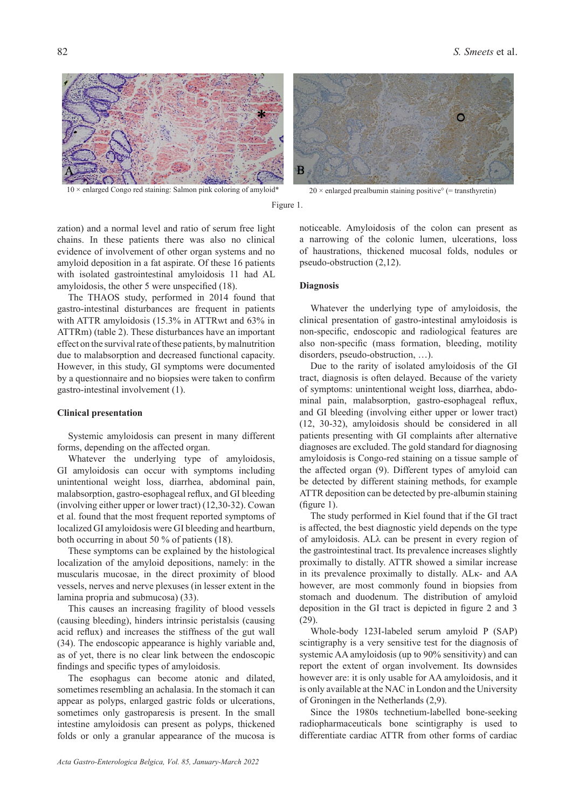

 $10 \times$  enlarged Congo red staining: Salmon pink coloring of amyloid\*  $20 \times$  enlarged prealbumin staining positive° (= transthyretin)





zation) and a normal level and ratio of serum free light chains. In these patients there was also no clinical evidence of involvement of other organ systems and no amyloid deposition in a fat aspirate. Of these 16 patients with isolated gastrointestinal amyloidosis 11 had AL amyloidosis, the other 5 were unspecified (18).

The THAOS study, performed in 2014 found that gastro-intestinal disturbances are frequent in patients with ATTR amyloidosis (15.3% in ATTRwt and 63% in ATTRm) (table 2). These disturbances have an important effect on the survival rate of these patients, by malnutrition due to malabsorption and decreased functional capacity. However, in this study, GI symptoms were documented by a questionnaire and no biopsies were taken to confirm gastro-intestinal involvement (1).

## **Clinical presentation**

Systemic amyloidosis can present in many different forms, depending on the affected organ.

Whatever the underlying type of amyloidosis, GI amyloidosis can occur with symptoms including unintentional weight loss, diarrhea, abdominal pain, malabsorption, gastro-esophageal reflux, and GI bleeding (involving either upper or lower tract) (12,30-32). Cowan et al. found that the most frequent reported symptoms of localized GI amyloidosis were GI bleeding and heartburn, both occurring in about 50 % of patients (18).

These symptoms can be explained by the histological localization of the amyloid depositions, namely: in the muscularis mucosae, in the direct proximity of blood vessels, nerves and nerve plexuses (in lesser extent in the lamina propria and submucosa) (33).

This causes an increasing fragility of blood vessels (causing bleeding), hinders intrinsic peristalsis (causing acid reflux) and increases the stiffness of the gut wall (34). The endoscopic appearance is highly variable and, as of yet, there is no clear link between the endoscopic findings and specific types of amyloidosis.

The esophagus can become atonic and dilated, sometimes resembling an achalasia. In the stomach it can appear as polyps, enlarged gastric folds or ulcerations, sometimes only gastroparesis is present. In the small intestine amyloidosis can present as polyps, thickened folds or only a granular appearance of the mucosa is

noticeable. Amyloidosis of the colon can present as a narrowing of the colonic lumen, ulcerations, loss of haustrations, thickened mucosal folds, nodules or pseudo-obstruction (2,12).

# **Diagnosis**

Whatever the underlying type of amyloidosis, the clinical presentation of gastro-intestinal amyloidosis is non-specific, endoscopic and radiological features are also non-specific (mass formation, bleeding, motility disorders, pseudo-obstruction, …).

Due to the rarity of isolated amyloidosis of the GI tract, diagnosis is often delayed. Because of the variety of symptoms: unintentional weight loss, diarrhea, abdominal pain, malabsorption, gastro-esophageal reflux, and GI bleeding (involving either upper or lower tract) (12, 30-32), amyloidosis should be considered in all patients presenting with GI complaints after alternative diagnoses are excluded. The gold standard for diagnosing amyloidosis is Congo-red staining on a tissue sample of the affected organ (9). Different types of amyloid can be detected by different staining methods, for example ATTR deposition can be detected by pre-albumin staining (figure 1).

The study performed in Kiel found that if the GI tract is affected, the best diagnostic yield depends on the type of amyloidosis. ALλ can be present in every region of the gastrointestinal tract. Its prevalence increases slightly proximally to distally. ATTR showed a similar increase in its prevalence proximally to distally. ALκ- and AA however, are most commonly found in biopsies from stomach and duodenum. The distribution of amyloid deposition in the GI tract is depicted in figure 2 and 3 (29).

Whole-body 123I-labeled serum amyloid P (SAP) scintigraphy is a very sensitive test for the diagnosis of systemic AA amyloidosis (up to 90% sensitivity) and can report the extent of organ involvement. Its downsides however are: it is only usable for AA amyloidosis, and it is only available at the NAC in London and the University of Groningen in the Netherlands (2,9).

Since the 1980s technetium-labelled bone-seeking radiopharmaceuticals bone scintigraphy is used to differentiate cardiac ATTR from other forms of cardiac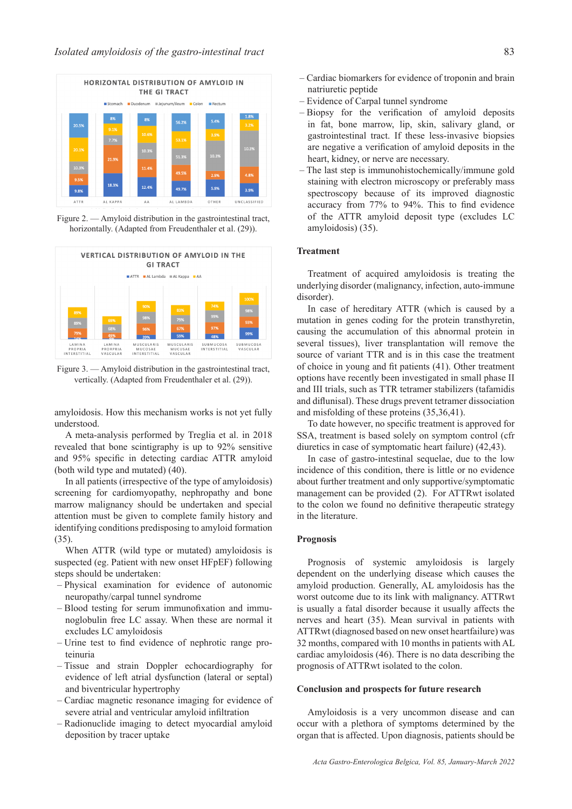

Figure 2. — Amyloid distribution in the gastrointestinal tract, horizontally. (Adapted from Freudenthaler et al. (29)).



Figure 3. — Amyloid distribution in the gastrointestinal tract, vertically. (Adapted from Freudenthaler et al. (29)).

amyloidosis. How this mechanism works is not yet fully understood.

A meta-analysis performed by Treglia et al. in 2018 revealed that bone scintigraphy is up to 92% sensitive and 95% specific in detecting cardiac ATTR amyloid (both wild type and mutated) (40).

In all patients (irrespective of the type of amyloidosis) screening for cardiomyopathy, nephropathy and bone marrow malignancy should be undertaken and special attention must be given to complete family history and identifying conditions predisposing to amyloid formation (35).

When ATTR (wild type or mutated) amyloidosis is suspected (eg. Patient with new onset HFpEF) following steps should be undertaken:

- Physical examination for evidence of autonomic neuropathy/carpal tunnel syndrome
- Blood testing for serum immunofixation and immunoglobulin free LC assay. When these are normal it excludes LC amyloidosis
- Urine test to find evidence of nephrotic range proteinuria
- Tissue and strain Doppler echocardiography for evidence of left atrial dysfunction (lateral or septal) and biventricular hypertrophy
- Cardiac magnetic resonance imaging for evidence of severe atrial and ventricular amyloid infiltration
- Radionuclide imaging to detect myocardial amyloid deposition by tracer uptake
- Cardiac biomarkers for evidence of troponin and brain natriuretic peptide
- Evidence of Carpal tunnel syndrome
- Biopsy for the verification of amyloid deposits in fat, bone marrow, lip, skin, salivary gland, or gastrointestinal tract. If these less-invasive biopsies are negative a verification of amyloid deposits in the heart, kidney, or nerve are necessary.
- The last step is immunohistochemically/immune gold staining with electron microscopy or preferably mass spectroscopy because of its improved diagnostic accuracy from 77% to 94%. This to find evidence of the ATTR amyloid deposit type (excludes LC amyloidosis) (35).

# **Treatment**

Treatment of acquired amyloidosis is treating the underlying disorder (malignancy, infection, auto-immune disorder).

In case of hereditary ATTR (which is caused by a mutation in genes coding for the protein transthyretin, causing the accumulation of this abnormal protein in several tissues), liver transplantation will remove the source of variant TTR and is in this case the treatment of choice in young and fit patients (41). Other treatment options have recently been investigated in small phase II and III trials, such as TTR tetramer stabilizers (tafamidis and diflunisal). These drugs prevent tetramer dissociation and misfolding of these proteins (35,36,41).

To date however, no specific treatment is approved for SSA, treatment is based solely on symptom control (cfr diuretics in case of symptomatic heart failure) (42,43).

In case of gastro-intestinal sequelae, due to the low incidence of this condition, there is little or no evidence about further treatment and only supportive/symptomatic management can be provided (2). For ATTRwt isolated to the colon we found no definitive therapeutic strategy in the literature.

# **Prognosis**

Prognosis of systemic amyloidosis is largely dependent on the underlying disease which causes the amyloid production. Generally, AL amyloidosis has the worst outcome due to its link with malignancy. ATTRwt is usually a fatal disorder because it usually affects the nerves and heart (35). Mean survival in patients with ATTRwt (diagnosed based on new onset heartfailure) was 32 months, compared with 10 months in patients with AL cardiac amyloidosis (46). There is no data describing the prognosis of ATTRwt isolated to the colon.

## **Conclusion and prospects for future research**

Amyloidosis is a very uncommon disease and can occur with a plethora of symptoms determined by the organ that is affected. Upon diagnosis, patients should be